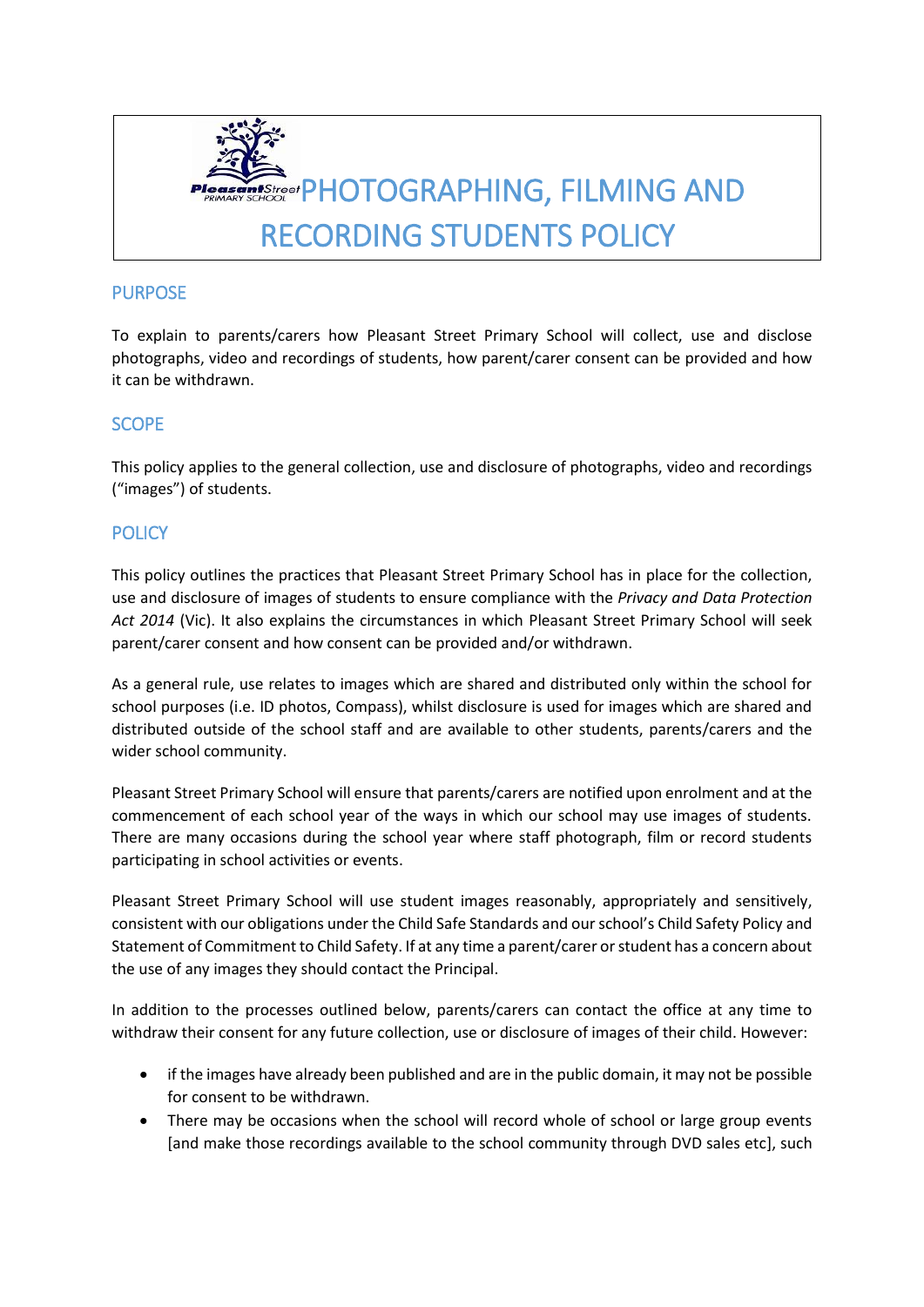

### PURPOSE

To explain to parents/carers how Pleasant Street Primary School will collect, use and disclose photographs, video and recordings of students, how parent/carer consent can be provided and how it can be withdrawn.

#### **SCOPE**

This policy applies to the general collection, use and disclosure of photographs, video and recordings ("images") of students.

### **POLICY**

This policy outlines the practices that Pleasant Street Primary School has in place for the collection, use and disclosure of images of students to ensure compliance with the *Privacy and Data Protection Act 2014* (Vic). It also explains the circumstances in which Pleasant Street Primary School will seek parent/carer consent and how consent can be provided and/or withdrawn.

As a general rule, use relates to images which are shared and distributed only within the school for school purposes (i.e. ID photos, Compass), whilst disclosure is used for images which are shared and distributed outside of the school staff and are available to other students, parents/carers and the wider school community.

Pleasant Street Primary School will ensure that parents/carers are notified upon enrolment and at the commencement of each school year of the ways in which our school may use images of students. There are many occasions during the school year where staff photograph, film or record students participating in school activities or events.

Pleasant Street Primary School will use student images reasonably, appropriately and sensitively, consistent with our obligations under the Child Safe Standards and our school's Child Safety Policy and Statement of Commitment to Child Safety. If at any time a parent/carer or student has a concern about the use of any images they should contact the Principal.

In addition to the processes outlined below, parents/carers can contact the office at any time to withdraw their consent for any future collection, use or disclosure of images of their child. However:

- if the images have already been published and are in the public domain, it may not be possible for consent to be withdrawn.
- There may be occasions when the school will record whole of school or large group events [and make those recordings available to the school community through DVD sales etc], such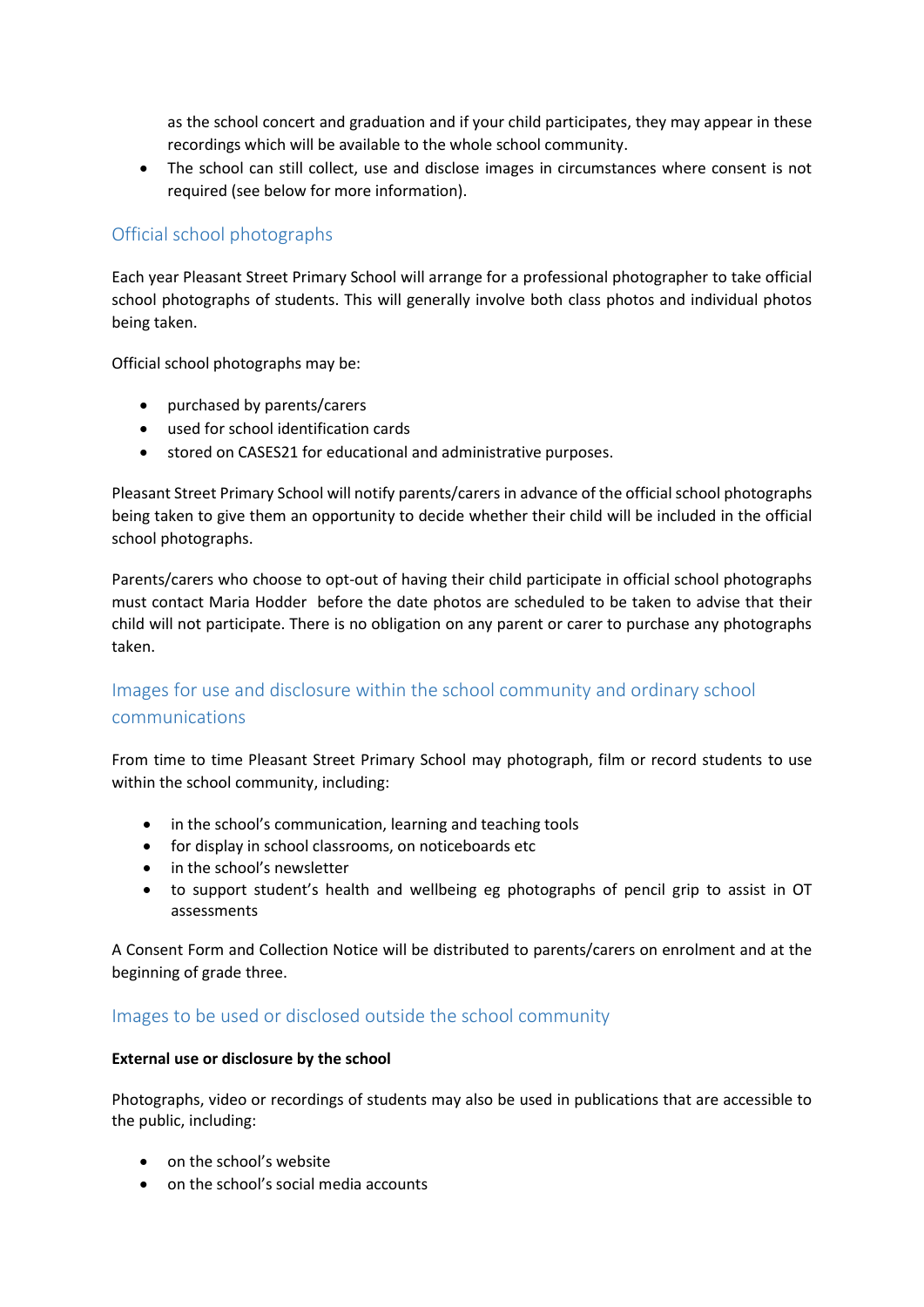as the school concert and graduation and if your child participates, they may appear in these recordings which will be available to the whole school community.

 The school can still collect, use and disclose images in circumstances where consent is not required (see below for more information).

# Official school photographs

Each year Pleasant Street Primary School will arrange for a professional photographer to take official school photographs of students. This will generally involve both class photos and individual photos being taken.

Official school photographs may be:

- purchased by parents/carers
- used for school identification cards
- stored on CASES21 for educational and administrative purposes.

Pleasant Street Primary School will notify parents/carers in advance of the official school photographs being taken to give them an opportunity to decide whether their child will be included in the official school photographs.

Parents/carers who choose to opt-out of having their child participate in official school photographs must contact Maria Hodder before the date photos are scheduled to be taken to advise that their child will not participate. There is no obligation on any parent or carer to purchase any photographs taken.

# Images for use and disclosure within the school community and ordinary school communications

From time to time Pleasant Street Primary School may photograph, film or record students to use within the school community, including:

- in the school's communication, learning and teaching tools
- for display in school classrooms, on noticeboards etc
- in the school's newsletter
- to support student's health and wellbeing eg photographs of pencil grip to assist in OT assessments

A Consent Form and Collection Notice will be distributed to parents/carers on enrolment and at the beginning of grade three.

#### Images to be used or disclosed outside the school community

#### **External use or disclosure by the school**

Photographs, video or recordings of students may also be used in publications that are accessible to the public, including:

- on the school's website
- on the school's social media accounts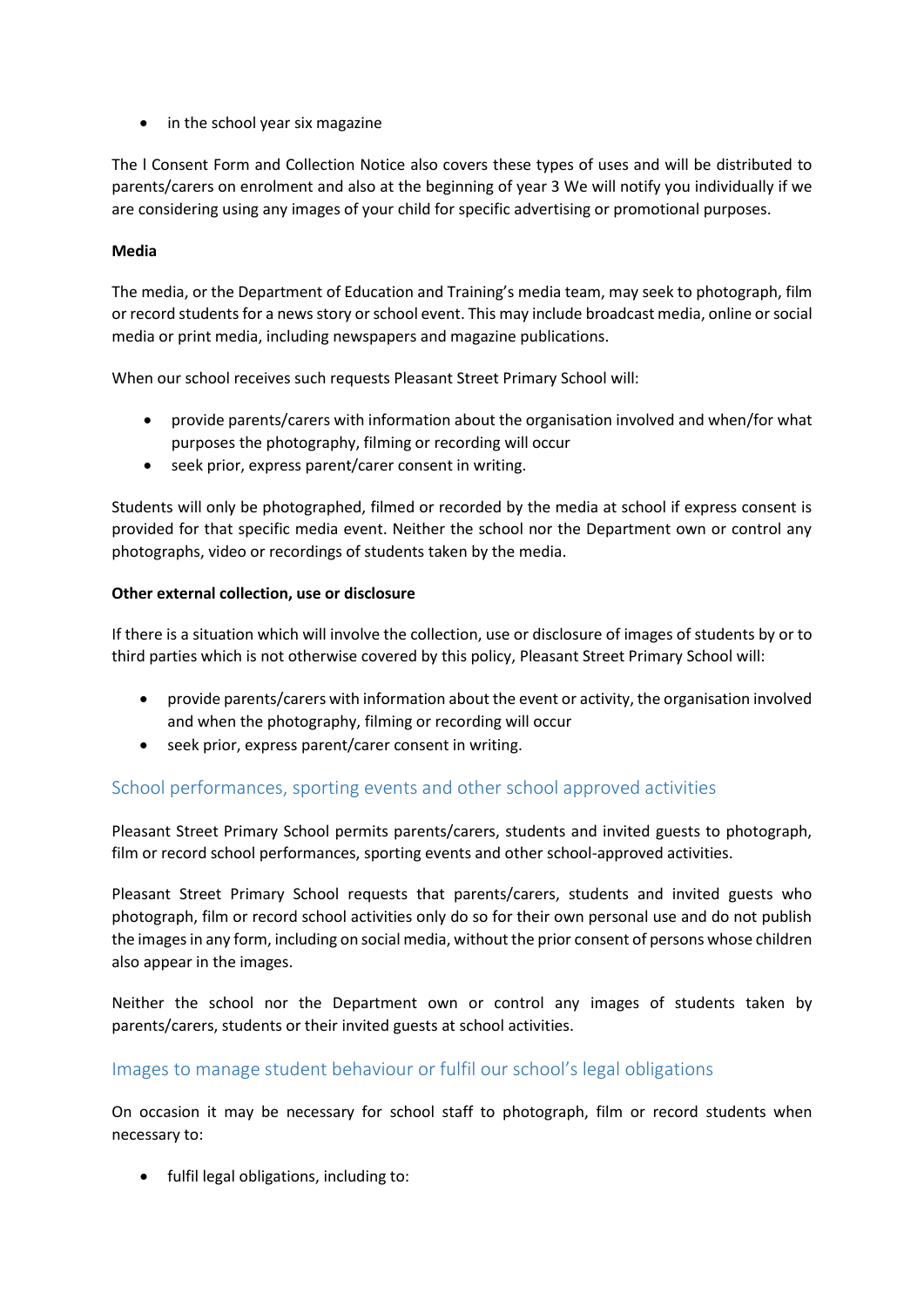• in the school year six magazine

The l Consent Form and Collection Notice also covers these types of uses and will be distributed to parents/carers on enrolment and also at the beginning of year 3 We will notify you individually if we are considering using any images of your child for specific advertising or promotional purposes.

#### **Media**

The media, or the Department of Education and Training's media team, may seek to photograph, film or record students for a news story or school event. This may include broadcast media, online or social media or print media, including newspapers and magazine publications.

When our school receives such requests Pleasant Street Primary School will:

- provide parents/carers with information about the organisation involved and when/for what purposes the photography, filming or recording will occur
- seek prior, express parent/carer consent in writing.

Students will only be photographed, filmed or recorded by the media at school if express consent is provided for that specific media event. Neither the school nor the Department own or control any photographs, video or recordings of students taken by the media.

#### **Other external collection, use or disclosure**

If there is a situation which will involve the collection, use or disclosure of images of students by or to third parties which is not otherwise covered by this policy, Pleasant Street Primary School will:

- provide parents/carers with information about the event or activity, the organisation involved and when the photography, filming or recording will occur
- seek prior, express parent/carer consent in writing.

### School performances, sporting events and other school approved activities

Pleasant Street Primary School permits parents/carers, students and invited guests to photograph, film or record school performances, sporting events and other school-approved activities.

Pleasant Street Primary School requests that parents/carers, students and invited guests who photograph, film or record school activities only do so for their own personal use and do not publish the images in any form, including on social media, without the prior consent of persons whose children also appear in the images.

Neither the school nor the Department own or control any images of students taken by parents/carers, students or their invited guests at school activities.

### Images to manage student behaviour or fulfil our school's legal obligations

On occasion it may be necessary for school staff to photograph, film or record students when necessary to:

• fulfil legal obligations, including to: